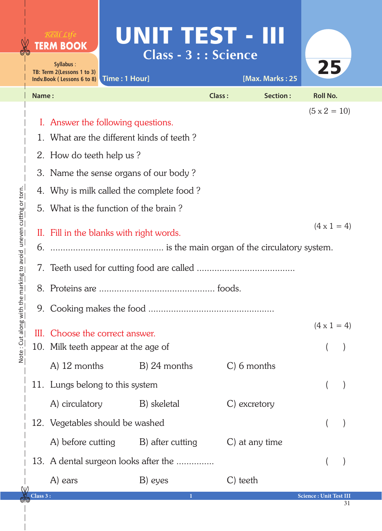|                                             |          | Real Life<br><b>TERM BOOK</b><br>Syllabus:<br>TB: Term 2(Lessons 1 to 3)<br>Indv.Book (Lessons 6 to 8)  | UNIT TEST - III<br>Time: 1 Hour]                                                                                         | Class - 3 : : Science | [Max. Marks: 25 | 25                     |  |
|---------------------------------------------|----------|---------------------------------------------------------------------------------------------------------|--------------------------------------------------------------------------------------------------------------------------|-----------------------|-----------------|------------------------|--|
|                                             | Name:    |                                                                                                         |                                                                                                                          | Class:                | <b>Section:</b> | <b>Roll No.</b>        |  |
|                                             |          | 2. How do teeth help us?                                                                                | I. Answer the following questions.<br>1. What are the different kinds of teeth?<br>3. Name the sense organs of our body? |                       |                 | $(5 \times 2 = 10)$    |  |
|                                             |          |                                                                                                         | 4. Why is milk called the complete food?                                                                                 |                       |                 |                        |  |
| he marking to avoid uneven cutting or torn. |          | 5. What is the function of the brain?<br>$(4 \times 1 = 4)$<br>II. Fill in the blanks with right words. |                                                                                                                          |                       |                 |                        |  |
|                                             |          |                                                                                                         |                                                                                                                          |                       |                 |                        |  |
|                                             |          |                                                                                                         |                                                                                                                          |                       |                 |                        |  |
| Note: Cut along with                        |          |                                                                                                         | III. Choose the correct answer.<br>10. Milk teeth appear at the age of                                                   |                       |                 | $(4 \times 1 = 4)$     |  |
|                                             |          | $A)$ 12 months                                                                                          | B) 24 months                                                                                                             | $C$ ) 6 months        |                 |                        |  |
|                                             |          |                                                                                                         | 11. Lungs belong to this system                                                                                          |                       |                 |                        |  |
|                                             |          | A) circulatory                                                                                          | B) skeletal                                                                                                              | C) excretory          |                 |                        |  |
|                                             |          | 12. Vegetables should be washed                                                                         |                                                                                                                          |                       |                 |                        |  |
|                                             |          | A) before cutting                                                                                       | B) after cutting                                                                                                         |                       | C) at any time  |                        |  |
|                                             |          |                                                                                                         | 13. A dental surgeon looks after the                                                                                     |                       |                 |                        |  |
|                                             | Class 3: | A) ears                                                                                                 | B) eyes<br>1                                                                                                             | C) teeth              |                 | Science: Unit Test III |  |

**gio** 

31